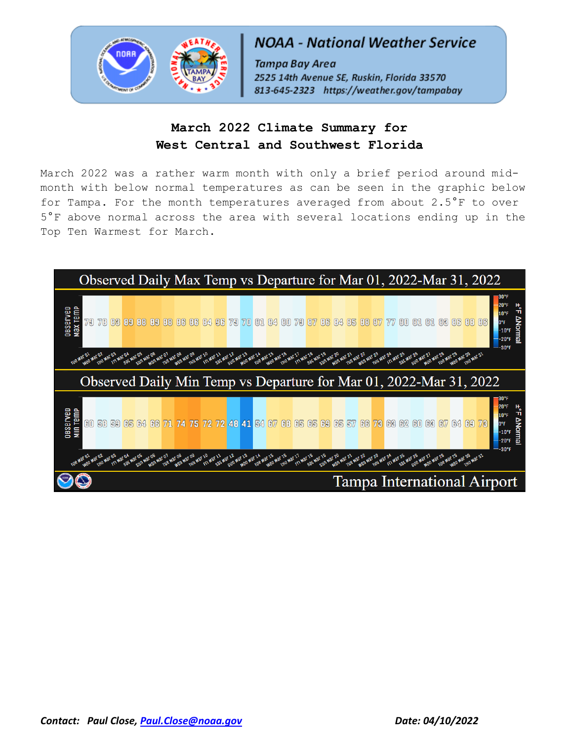

# **NOAA - National Weather Service**

Tampa Bay Area 2525 14th Avenue SE, Ruskin, Florida 33570 813-645-2323 https://weather.gov/tampabay

# **March 2022 Climate Summary for West Central and Southwest Florida**

March 2022 was a rather warm month with only a brief period around midmonth with below normal temperatures as can be seen in the graphic below for Tampa. For the month temperatures averaged from about 2.5°F to over 5°F above normal across the area with several locations ending up in the Top Ten Warmest for March.

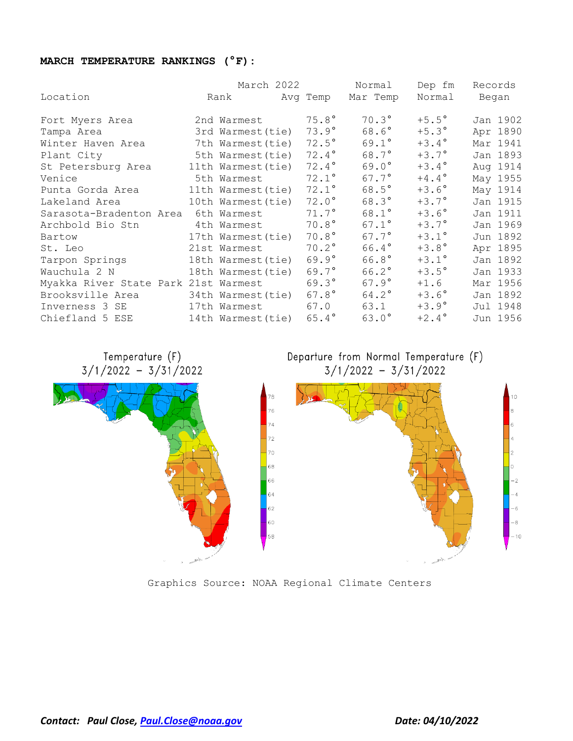### **MARCH TEMPERATURE RANKINGS (°F):**

|                                      |                    | March 2022        | Normal         | Dep fm         | Records  |
|--------------------------------------|--------------------|-------------------|----------------|----------------|----------|
| Location                             | Rank               | Avg Temp Mar Temp |                | Normal Began   |          |
| Fort Myers Area                      | 2nd Warmest        | $75.8^\circ$      | $70.3^\circ$   | $+5.5^{\circ}$ | Jan 1902 |
| Tampa Area                           | 3rd Warmest (tie)  | $73.9^\circ$      | $68.6^\circ$   | $+5.3^{\circ}$ | Apr 1890 |
| Winter Haven Area                    | 7th Warmest (tie)  | $72.5^\circ$      | $69.1^{\circ}$ | $+3.4^{\circ}$ | Mar 1941 |
| Plant City                           | 5th Warmest(tie)   | $72.4^{\circ}$    | $68.7^\circ$   | $+3.7^{\circ}$ | Jan 1893 |
| St Petersburg Area                   | 11th Warmest (tie) | $72.4^\circ$      | $69.0^\circ$   | $+3.4^{\circ}$ | Aug 1914 |
| Venice                               | 5th Warmest        | $72.1^\circ$      | $67.7^{\circ}$ | $+4.4^{\circ}$ | May 1955 |
| Punta Gorda Area                     | 11th Warmest(tie)  | $72.1^\circ$      | $68.5^\circ$   | $+3.6^{\circ}$ | May 1914 |
| Lakeland Area                        | 10th Warmest(tie)  | $72.0^\circ$      | $68.3^{\circ}$ | $+3.7^\circ$   | Jan 1915 |
| Sarasota-Bradenton Area              | 6th Warmest        | $71.7^\circ$      | $68.1^{\circ}$ | $+3.6^{\circ}$ | Jan 1911 |
| Archbold Bio Stn                     | 4th Warmest        | $70.8^\circ$      | $67.1^{\circ}$ | $+3.7^{\circ}$ | Jan 1969 |
| Bartow                               | 17th Warmest(tie)  | $70.8^\circ$      | $67.7^{\circ}$ | $+3.1^{\circ}$ | Jun 1892 |
| St. Leo                              | 21st Warmest       | $70.2^\circ$      | 66.4°          | $+3.8^{\circ}$ | Apr 1895 |
| Tarpon Springs                       | 18th Warmest(tie)  | $69.9^\circ$      | $66.8^\circ$   | $+3.1^\circ$   | Jan 1892 |
| Wauchula 2 N                         | 18th Warmest(tie)  | $69.7^{\circ}$    | $66.2^{\circ}$ | $+3.5^{\circ}$ | Jan 1933 |
| Myakka River State Park 21st Warmest |                    | $69.3^\circ$      | $67.9^\circ$   | $+1.6$         | Mar 1956 |
| Brooksville Area                     | 34th Warmest(tie)  | $67.8^\circ$      | $64.2^\circ$   | $+3.6^{\circ}$ | Jan 1892 |
| Inverness 3 SE                       | 17th Warmest       | 67.0              | 63.1           | $+3.9^\circ$   | Jul 1948 |
| Chiefland 5 ESE                      | 14th Warmest (tie) | $65.4^{\circ}$    | $63.0^\circ$   | $+2.4^{\circ}$ | Jun 1956 |

Temperature (F)  $3/1/2022 - 3/31/2022$ 





Graphics Source: NOAA Regional Climate Centers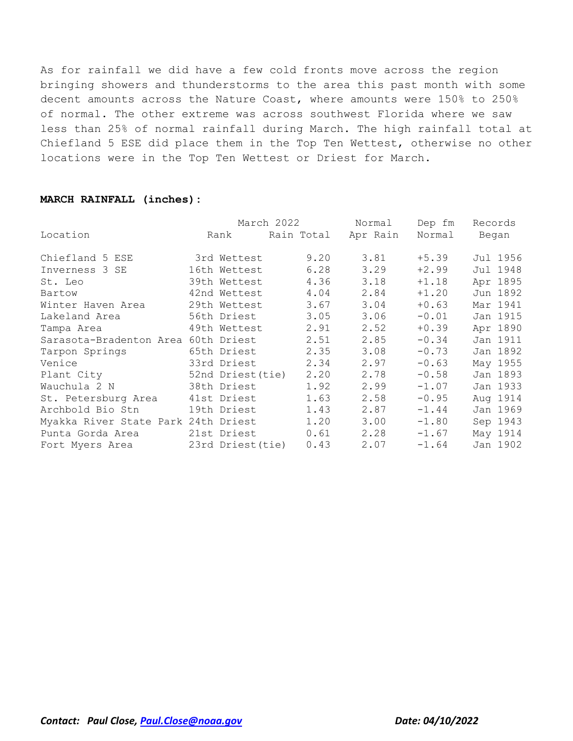As for rainfall we did have a few cold fronts move across the region bringing showers and thunderstorms to the area this past month with some decent amounts across the Nature Coast, where amounts were 150% to 250% of normal. The other extreme was across southwest Florida where we saw less than 25% of normal rainfall during March. The high rainfall total at Chiefland 5 ESE did place them in the Top Ten Wettest, otherwise no other locations were in the Top Ten Wettest or Driest for March.

#### **MARCH RAINFALL (inches):**

|                                     |             |                   | March 2022 | Normal   | Dep fm  | Records  |
|-------------------------------------|-------------|-------------------|------------|----------|---------|----------|
| Location                            | Rank        |                   | Rain Total | Apr Rain | Normal  | Began    |
| Chiefland 5 ESE                     |             | 3rd Wettest       | 9.20       | 3.81     | $+5.39$ | Jul 1956 |
| Inverness 3 SE                      |             | 16th Wettest      | 6.28       | 3.29     | $+2.99$ | Jul 1948 |
| St. Leo                             |             | 39th Wettest      | 4.36       | 3.18     | $+1.18$ | Apr 1895 |
| Bartow                              |             | 42nd Wettest      | 4.04       | 2.84     | $+1.20$ | Jun 1892 |
| Winter Haven Area                   |             | 29th Wettest      | 3.67       | 3.04     | $+0.63$ | Mar 1941 |
| Lakeland Area                       |             | 56th Driest       | 3.05       | 3.06     | $-0.01$ | Jan 1915 |
| Tampa Area                          |             | 49th Wettest      | 2.91       | 2.52     | $+0.39$ | Apr 1890 |
| Sarasota-Bradenton Area 60th Driest |             |                   | 2.51       | 2.85     | $-0.34$ | Jan 1911 |
| Tarpon Springs                      |             | 65th Driest       | 2.35       | 3.08     | $-0.73$ | Jan 1892 |
| Venice                              |             | 33rd Driest       | 2.34       | 2.97     | $-0.63$ | May 1955 |
| Plant City                          |             | 52nd Driest (tie) | 2.20       | 2.78     | $-0.58$ | Jan 1893 |
| Wauchula 2 N                        | 38th Driest |                   | 1.92       | 2.99     | $-1.07$ | Jan 1933 |
| St. Petersburg Area                 |             | 41st Driest       | 1.63       | 2.58     | $-0.95$ | Aug 1914 |
| Archbold Bio Stn                    |             | 19th Driest       | 1.43       | 2.87     | $-1.44$ | Jan 1969 |
| Myakka River State Park 24th Driest |             |                   | 1.20       | 3.00     | $-1.80$ | Sep 1943 |
| Punta Gorda Area                    |             | 21st Driest       | 0.61       | 2.28     | $-1.67$ | May 1914 |
| Fort Myers Area                     |             | 23rd Driest(tie)  | 0.43       | 2.07     | $-1.64$ | Jan 1902 |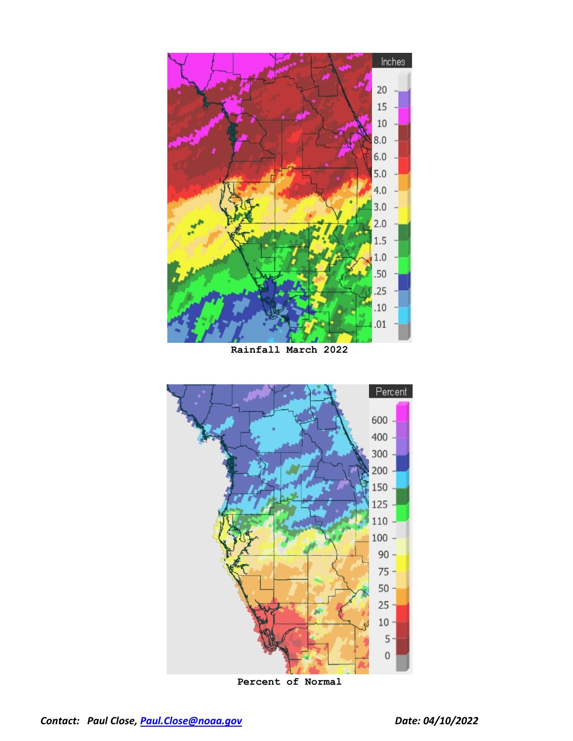

**Rainfall March 2022**



**Percent of Normal**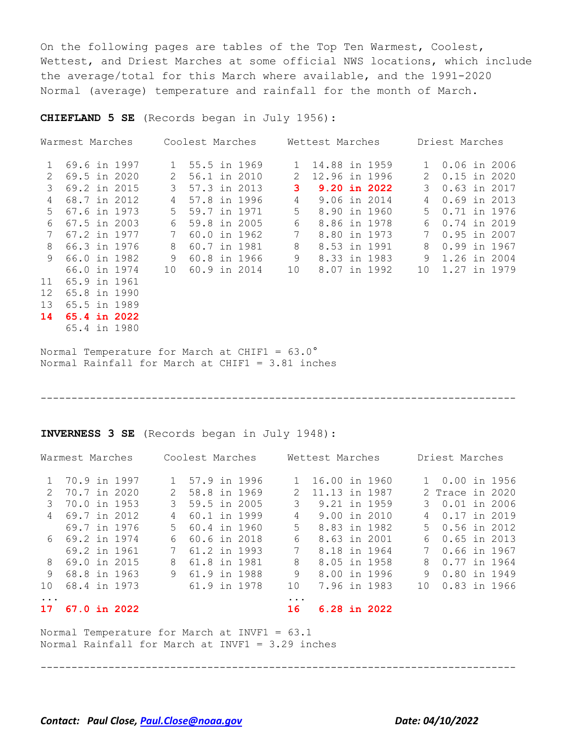On the following pages are tables of the Top Ten Warmest, Coolest, Wettest, and Driest Marches at some official NWS locations, which include the average/total for this March where available, and the 1991-2020 Normal (average) temperature and rainfall for the month of March.

**CHIEFLAND 5 SE** (Records began in July 1956):

| Warmest Marches |              |    | Coolest Marches |              | Wettest Marches | Driest Marches |                |  |
|-----------------|--------------|----|-----------------|--------------|-----------------|----------------|----------------|--|
| $\mathbf{1}$    | 69.6 in 1997 | 1  | 55.5 in 1969    | $\mathbf{1}$ | 14.88 in 1959   | 1              | $0.06$ in 2006 |  |
| $\mathcal{L}$   | 69.5 in 2020 | 2  | 56.1 in 2010    | 2            | 12.96 in 1996   | 2              | $0.15$ in 2020 |  |
| $\mathcal{S}$   | 69.2 in 2015 | 3  | 57.3 in 2013    | 3            | 9.20 in 2022    | 3              | 0.63 in 2017   |  |
| 4               | 68.7 in 2012 | 4  | 57.8 in 1996    | 4            | 9.06 in 2014    | 4              | $0.69$ in 2013 |  |
| .5              | 67.6 in 1973 | 5  | 59.7 in 1971    | 5            | 8.90 in 1960    | 5.             | 0.71 in 1976   |  |
| 6               | 67.5 in 2003 | 6  | 59.8 in 2005    | 6            | 8.86 in 1978    | 6              | 0.74 in 2019   |  |
|                 | 67.2 in 1977 |    | 60.0 in 1962    | 7            | 8.80 in 1973    |                | $0.95$ in 2007 |  |
| 8               | 66.3 in 1976 | 8  | 60.7 in 1981    | 8            | 8.53 in 1991    | 8              | 0.99 in 1967   |  |
| 9               | 66.0 in 1982 | 9  | 60.8 in 1966    | 9            | 8.33 in 1983    | 9              | 1.26 in 2004   |  |
|                 | 66.0 in 1974 | 10 | 60.9 in 2014    | 10           | 8.07 in 1992    | 10             | 1.27 in 1979   |  |
| 11              | 65.9 in 1961 |    |                 |              |                 |                |                |  |
| 12              | 65.8 in 1990 |    |                 |              |                 |                |                |  |
| 13              | 65.5 in 1989 |    |                 |              |                 |                |                |  |
| 14              | 65.4 in 2022 |    |                 |              |                 |                |                |  |
|                 | 65.4 in 1980 |    |                 |              |                 |                |                |  |

Normal Temperature for March at CHIF1 = 63.0° Normal Rainfall for March at CHIF1 = 3.81 inches

#### -----------------------------------------------------------------------------

**INVERNESS 3 SE** (Records began in July 1948):

|                | Warmest Marches     | Coolest Marches    |              | Wettest Marches | Driest Marches |                 |  |  |
|----------------|---------------------|--------------------|--------------|-----------------|----------------|-----------------|--|--|
|                | 1 70.9 in 1997      | 1 57.9 in 1996     | $\mathbf{1}$ | 16.00 in 1960   |                | 1 0.00 in 1956  |  |  |
| $\mathcal{P}$  | 70.7 in 2020        | 58.8 in 1969<br>2  | 2            | 11.13 in 1987   |                | 2 Trace in 2020 |  |  |
| 3              | 70.0 in 1953        | 59.5 in 2005<br>3  | 3            | 9.21 in 1959    |                | 3 0.01 in 2006  |  |  |
| $\overline{4}$ | 69.7 in 2012        | 60.1 in 1999<br>4  | 4            | 9.00 in 2010    |                | 4 0.17 in 2019  |  |  |
|                | 69.7 in 1976        | 60.4 in 1960<br>.5 | $5 -$        | 8.83 in 1982    |                | 5 0.56 in 2012  |  |  |
|                | 6 69.2 in 1974      | 60.6 in 2018<br>6  | 6            | 8.63 in 2001    |                | 6 0.65 in 2013  |  |  |
|                | 69.2 in 1961        | 61.2 in 1993<br>7  | 7            | 8.18 in 1964    |                | 7 0.66 in 1967  |  |  |
| 8              | 69.0 in 2015        | 61.8 in 1981<br>8  | 8            | 8.05 in 1958    |                | 8 0.77 in 1964  |  |  |
| 9              | 68.8 in 1963        | 61.9 in 1988<br>9  | 9            | 8.00 in 1996    | 9              | 0.80 in 1949    |  |  |
| 10             | 68.4 in 1973        | 61.9 in 1978       | 10           | 7.96 in 1983    |                | 10 0.83 in 1966 |  |  |
| $\ddots$ .     |                     |                    | $\ddotsc$    |                 |                |                 |  |  |
| 17             | <b>67.0 in 2022</b> |                    | 16           | 6.28 in 2022    |                |                 |  |  |
|                |                     |                    |              |                 |                |                 |  |  |

Normal Temperature for March at INVF1 = 63.1 Normal Rainfall for March at INVF1 = 3.29 inches

-----------------------------------------------------------------------------

*Contact: Paul Close, [Paul.Close@noaa.gov](mailto:Paul.Close@noaa.gov) Date: 04/10/2022*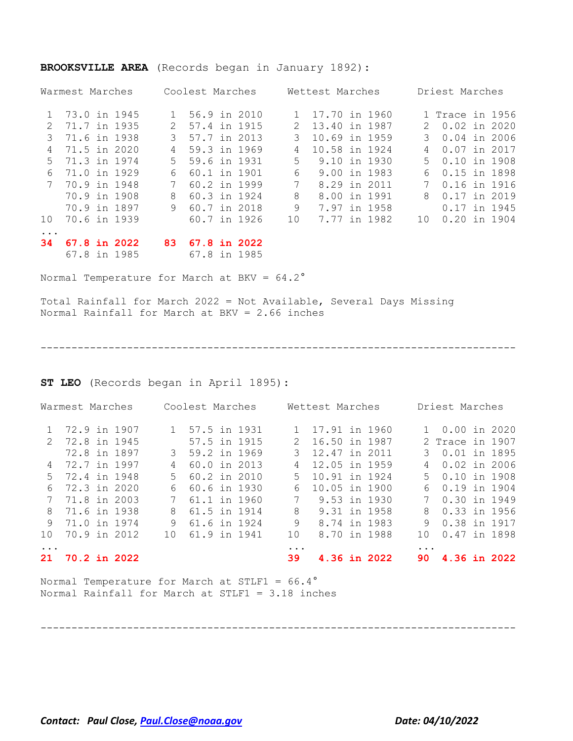|               | Warmest Marches |     | Coolest Marches |               | Wettest Marches | Driest Marches |                 |  |  |
|---------------|-----------------|-----|-----------------|---------------|-----------------|----------------|-----------------|--|--|
|               | 1 73.0 in 1945  |     | 1 56.9 in 2010  | $\mathbf{1}$  | 17.70 in 1960   |                | 1 Trace in 1956 |  |  |
| $\mathcal{L}$ | 71.7 in 1935    | 2   | 57.4 in 1915    | $\mathcal{L}$ | 13.40 in 1987   |                | 2 0.02 in 2020  |  |  |
| 3             | 71.6 in 1938    |     | 3 57.7 in 2013  | 3             | 10.69 in 1959   | 3              | $0.04$ in 2006  |  |  |
| 4             | 71.5 in 2020    | 4   | 59.3 in 1969    | 4             | 10.58 in 1924   | 4              | 0.07 in 2017    |  |  |
| .5            | 71.3 in 1974    |     | 5 59.6 in 1931  | 5.            | 9.10 in 1930    |                | 5 0.10 in 1908  |  |  |
| 6             | 71.0 in 1929    | 6   | 60.1 in 1901    | 6             | 9.00 in 1983    | 6              | 0.15 in 1898    |  |  |
|               | 70.9 in 1948    |     | 60.2 in 1999    |               | 8.29 in 2011    |                | 0.16 in 1916    |  |  |
|               | 70.9 in 1908    | 8   | 60.3 in 1924    | 8             | 8.00 in 1991    | 8              | 0.17 in 2019    |  |  |
|               | 70.9 in 1897    |     | 9 60.7 in 2018  | 9             | 7.97 in 1958    |                | 0.17 in 1945    |  |  |
| 10            | 70.6 in 1939    |     | 60.7 in 1926    | 10            | 7.77 in 1982    | 10             | $0.20$ in 1904  |  |  |
|               |                 |     |                 |               |                 |                |                 |  |  |
| 34            | 67.8 in 2022    | 83. | 67.8 in 2022    |               |                 |                |                 |  |  |
|               | 67.8 in 1985    |     | 67.8 in 1985    |               |                 |                |                 |  |  |

#### **BROOKSVILLE AREA** (Records began in January 1892):

Normal Temperature for March at BKV = 64.2°

Total Rainfall for March 2022 = Not Available, Several Days Missing Normal Rainfall for March at BKV = 2.66 inches

-----------------------------------------------------------------------------

#### **ST LEO** (Records began in April 1895):

|    | Warmest Marches |  |                | Coolest Marches |  |             | Wettest Marches |              |           | Driest Marches  |  |
|----|-----------------|--|----------------|-----------------|--|-------------|-----------------|--------------|-----------|-----------------|--|
|    | 72.9 in 1907    |  |                | 1 57.5 in 1931  |  |             | 1 17.91 in 1960 |              |           | 1 0.00 in 2020  |  |
|    | 2 72.8 in 1945  |  |                | 57.5 in 1915    |  |             | 2 16.50 in 1987 |              |           | 2 Trace in 1907 |  |
|    | 72.8 in 1897    |  |                | 3 59.2 in 1969  |  | 3           | 12.47 in 2011   |              |           | 3 0.01 in 1895  |  |
| 4  | 72.7 in 1997    |  | $\overline{4}$ | 60.0 in 2013    |  | 4           | 12.05 in 1959   |              |           | 4 0.02 in 2006  |  |
| .5 | 72.4 in 1948    |  | $5 -$          | 60.2 in 2010    |  | .5          | 10.91 in 1924   |              |           | 5 0.10 in 1908  |  |
| 6  | 72.3 in 2020    |  | 6              | 60.6 in 1930    |  | 6           | 10.05 in 1900   |              |           | 6 0.19 in 1904  |  |
| 7  | 71.8 in 2003    |  | 7              | 61.1 in 1960    |  | $7^{\circ}$ |                 | 9.53 in 1930 |           | 7 0.30 in 1949  |  |
| 8  | 71.6 in 1938    |  |                | 8 61.5 in 1914  |  | 8           |                 | 9.31 in 1958 |           | 8 0.33 in 1956  |  |
|    | 9 71.0 in 1974  |  | 9              | 61.6 in 1924    |  | 9           | 8.74 in 1983    |              | 9.        | 0.38 in 1917    |  |
| 10 | 70.9 in 2012    |  |                | 10 61.9 in 1941 |  | 10          |                 | 8.70 in 1988 |           | 10 0.47 in 1898 |  |
|    |                 |  |                |                 |  | $\ddotsc$   |                 |              | $\ddotsc$ |                 |  |
|    | 21 70.2 in 2022 |  |                |                 |  | 39          |                 | 4.36 in 2022 |           | 90 4.36 in 2022 |  |
|    |                 |  |                |                 |  |             |                 |              |           |                 |  |

-----------------------------------------------------------------------------

Normal Temperature for March at STLF1 = 66.4° Normal Rainfall for March at STLF1 = 3.18 inches

*Contact: Paul Close, [Paul.Close@noaa.gov](mailto:Paul.Close@noaa.gov) Date: 04/10/2022*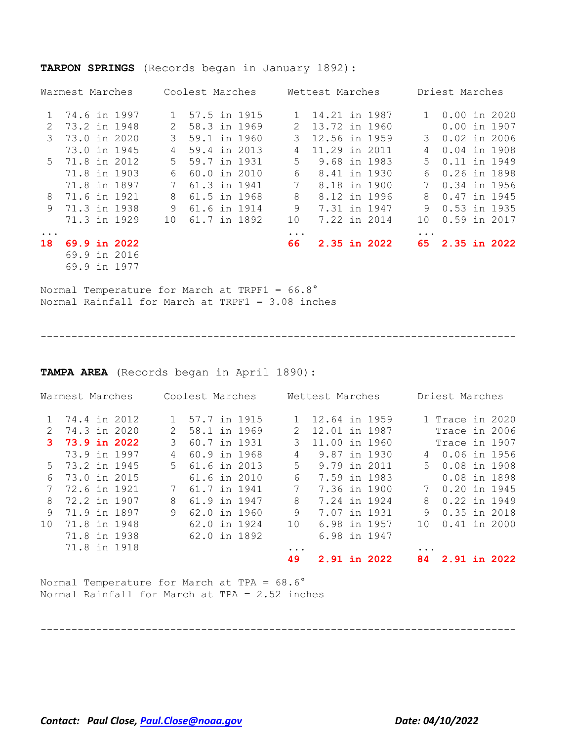|                             | Warmest Marches |               | Coolest Marches |                | Wettest Marches | Driest Marches  |                |  |  |
|-----------------------------|-----------------|---------------|-----------------|----------------|-----------------|-----------------|----------------|--|--|
|                             | 74.6 in 1997    | 1             | 57.5 in 1915    |                | 14.21 in 1987   |                 | $0.00$ in 2020 |  |  |
| $\mathcal{D}_{\mathcal{L}}$ | 73.2 in 1948    | $\mathcal{L}$ | 58.3 in 1969    | $\mathcal{L}$  | 13.72 in 1960   |                 | 0.00 in 1907   |  |  |
| 3                           | 73.0 in 2020    | 3             | 59.1 in 1960    | 3              | 12.56 in 1959   | 3               | $0.02$ in 2006 |  |  |
|                             | 73.0 in 1945    | 4             | 59.4 in 2013    | 4              | 11.29 in 2011   | 4               | $0.04$ in 1908 |  |  |
| 5.                          | 71.8 in 2012    | .5            | 59.7 in 1931    | 5.             | 9.68 in 1983    | 5.              | 0.11 in 1949   |  |  |
|                             | 71.8 in 1903    | 6             | 60.0 in 2010    | 6              | 8.41 in 1930    | 6               | 0.26 in 1898   |  |  |
|                             | 71.8 in 1897    | 7             | 61.3 in 1941    | $7^{\circ}$    | 8.18 in 1900    | 7               | 0.34 in 1956   |  |  |
| 8                           | 71.6 in 1921    | 8             | 61.5 in 1968    | 8              | 8.12 in 1996    | 8               | 0.47 in 1945   |  |  |
| 9                           | 71.3 in 1938    | 9             | 61.6 in 1914    | 9              | 7.31 in 1947    | 9               | 0.53 in 1935   |  |  |
|                             | 71.3 in 1929    | 10            | 61.7 in 1892    | 10             | 7.22 in 2014    | 10              | 0.59 in 2017   |  |  |
| $\ddotsc$<br>18             | 69.9 in 2022    |               |                 | $\cdots$<br>66 | 2.35 in 2022    | $\cdots$<br>65. | 2.35 in 2022   |  |  |
|                             | 69.9 in 2016    |               |                 |                |                 |                 |                |  |  |
|                             | 69.9 in 1977    |               |                 |                |                 |                 |                |  |  |

#### **TARPON SPRINGS** (Records began in January 1892):

Normal Temperature for March at TRPF1 = 66.8° Normal Rainfall for March at TRPF1 = 3.08 inches

-----------------------------------------------------------------------------

**TAMPA AREA** (Records began in April 1890):

| Warmest Marches |                | Coolest Marches |                | Wettest Marches |               |  | Driest Marches |                 |  |  |
|-----------------|----------------|-----------------|----------------|-----------------|---------------|--|----------------|-----------------|--|--|
|                 | 74.4 in 2012   |                 | 1 57.7 in 1915 |                 | 12.64 in 1959 |  |                | 1 Trace in 2020 |  |  |
| $\mathcal{L}$   | 74.3 in 2020   | $\mathcal{L}$   | 58.1 in 1969   | $\mathcal{L}$   | 12.01 in 1987 |  |                | Trace in 2006   |  |  |
|                 | 3 73.9 in 2022 | 3               | 60.7 in 1931   | 3               | 11.00 in 1960 |  |                | Trace in 1907   |  |  |
|                 | 73.9 in 1997   | 4               | 60.9 in 1968   | 4               | 9.87 in 1930  |  |                | 4 0.06 in 1956  |  |  |
|                 | 5 73.2 in 1945 | $5 -$           | 61.6 in 2013   | 5               | 9.79 in 2011  |  | $5 -$          | 0.08 in 1908    |  |  |
| 6               | 73.0 in 2015   |                 | 61.6 in 2010   | 6               | 7.59 in 1983  |  |                | 0.08 in 1898    |  |  |
|                 | 72.6 in 1921   |                 | 61.7 in 1941   | 7               | 7.36 in 1900  |  |                | 0.20 in 1945    |  |  |
| 8               | 72.2 in 1907   | 8               | 61.9 in 1947   | 8               | 7.24 in 1924  |  | 8              | 0.22 in 1949    |  |  |
| 9               | 71.9 in 1897   | 9               | 62.0 in 1960   | 9               | 7.07 in 1931  |  |                | 9 0.35 in 2018  |  |  |
| 10              | 71.8 in 1948   |                 | 62.0 in 1924   | 10              | 6.98 in 1957  |  | 10             | 0.41 in 2000    |  |  |
|                 | 71.8 in 1938   |                 | 62.0 in 1892   |                 | 6.98 in 1947  |  |                |                 |  |  |
|                 | 71.8 in 1918   |                 |                | $\ddotsc$       |               |  | .              |                 |  |  |
|                 |                |                 |                | 49              | 2.91 in 2022  |  |                | 84 2.91 in 2022 |  |  |
|                 |                |                 |                |                 |               |  |                |                 |  |  |

Normal Temperature for March at TPA = 68.6° Normal Rainfall for March at TPA = 2.52 inches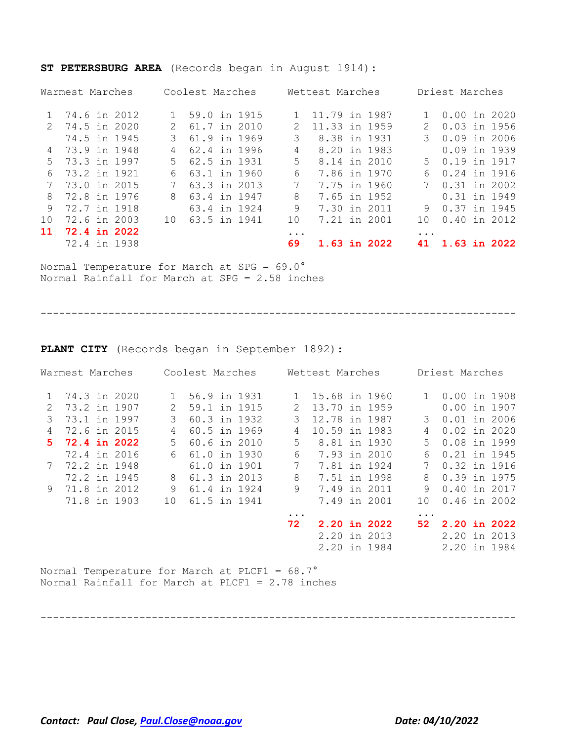|                 | Warmest Marches |       | Coolest Marches |  |               | Wettest Marches |  |  |                        | Driest Marches |  |              |  |
|-----------------|-----------------|-------|-----------------|--|---------------|-----------------|--|--|------------------------|----------------|--|--------------|--|
|                 | 1 74.6 in 2012  |       | 1 59.0 in 1915  |  |               | 11.79 in 1987   |  |  |                        | 1 0.00 in 2020 |  |              |  |
| $\mathcal{P}$   | 74.5 in 2020    |       | 2 61.7 in 2010  |  | $\mathcal{L}$ | 11.33 in 1959   |  |  | 2                      | 0.03 in 1956   |  |              |  |
|                 | 74.5 in 1945    | 3     | 61.9 in 1969    |  | 3             | 8.38 in 1931    |  |  |                        | $0.09$ in 2006 |  |              |  |
|                 | 4 73.9 in 1948  | 4     | 62.4 in 1996    |  | 4             | 8.20 in 1983    |  |  |                        | 0.09 in 1939   |  |              |  |
| $5 -$           | 73.3 in 1997    | $5 -$ | 62.5 in 1931    |  | .5            | 8.14 in 2010    |  |  |                        | 5 0.19 in 1917 |  |              |  |
| 6               | 73.2 in 1921    | 6     | 63.1 in 1960    |  | 6             | 7.86 in 1970    |  |  | 6                      | 0.24 in 1916   |  |              |  |
|                 | 73.0 in 2015    | 7     | 63.3 in 2013    |  | 7             | 7.75 in 1960    |  |  |                        | 7 0.31 in 2002 |  |              |  |
| 8               | 72.8 in 1976    | 8     | 63.4 in 1947    |  | 8             | 7.65 in 1952    |  |  |                        | 0.31 in 1949   |  |              |  |
| 9               | 72.7 in 1918    |       | 63.4 in 1924    |  | 9             | 7.30 in 2011    |  |  | 9                      | 0.37 in 1945   |  |              |  |
| 10 <sup>°</sup> | 72.6 in 2003    | 1 O   | 63.5 in 1941    |  | 10            | 7.21 in 2001    |  |  | 1 O                    | $0.40$ in 2012 |  |              |  |
| 11              | 72.4 in 2022    |       |                 |  | $\ddotsc$     |                 |  |  | $\ddot{\phantom{a}}$ . |                |  |              |  |
|                 | 72.4 in 1938    |       |                 |  | 69            | 1.63 in 2022    |  |  | 41                     |                |  | 1.63 in 2022 |  |

**ST PETERSBURG AREA** (Records began in August 1914):

Normal Temperature for March at SPG = 69.0° Normal Rainfall for March at SPG = 2.58 inches

-----------------------------------------------------------------------------

**PLANT CITY** (Records began in September 1892):

|               | Warmest Marches |    | Coolest Marches |           | Wettest Marches |               |          | Driest Marches |  |
|---------------|-----------------|----|-----------------|-----------|-----------------|---------------|----------|----------------|--|
|               | 74.3 in 2020    |    | 56.9 in 1931    |           |                 | 15.68 in 1960 |          | 1 0.00 in 1908 |  |
| $\mathcal{L}$ | 73.2 in 1907    | 2  | 59.1 in 1915    | 2         |                 | 13.70 in 1959 |          | $0.00$ in 1907 |  |
| 3             | 73.1 in 1997    | 3  | 60.3 in 1932    | 3         |                 | 12.78 in 1987 | 3        | $0.01$ in 2006 |  |
| 4             | 72.6 in 2015    | 4  | 60.5 in 1969    | 4         |                 | 10.59 in 1983 | 4        | $0.02$ in 2020 |  |
|               | 5 72.4 in 2022  | 5. | 60.6 in 2010    | 5         |                 | 8.81 in 1930  | 5        | 0.08 in 1999   |  |
|               | 72.4 in 2016    | 6. | 61.0 in 1930    | 6         |                 | 7.93 in 2010  | 6        | 0.21 in 1945   |  |
|               | 7 72.2 in 1948  |    | 61.0 in 1901    | 7         |                 | 7.81 in 1924  | 7        | 0.32 in 1916   |  |
|               | 72.2 in 1945    |    | 8 61.3 in 2013  | 8         |                 | 7.51 in 1998  | 8        | 0.39 in 1975   |  |
|               | 9 71.8 in 2012  | 9  | 61.4 in 1924    | 9         |                 | 7.49 in 2011  | 9        | 0.40 in 2017   |  |
|               | 71.8 in 1903    | 10 | 61.5 in 1941    |           |                 | 7.49 in 2001  | 1 O      | $0.46$ in 2002 |  |
|               |                 |    |                 | $\ddotsc$ |                 |               | $\cdots$ |                |  |
|               |                 |    |                 | 72        |                 | 2.20 in 2022  | 52.      | 2.20 in 2022   |  |
|               |                 |    |                 |           |                 | 2.20 in 2013  |          | 2.20 in 2013   |  |
|               |                 |    |                 |           |                 | 2.20 in 1984  |          | 2.20 in 1984   |  |
|               |                 |    |                 |           |                 |               |          |                |  |

-----------------------------------------------------------------------------

Normal Temperature for March at PLCF1 = 68.7° Normal Rainfall for March at PLCF1 = 2.78 inches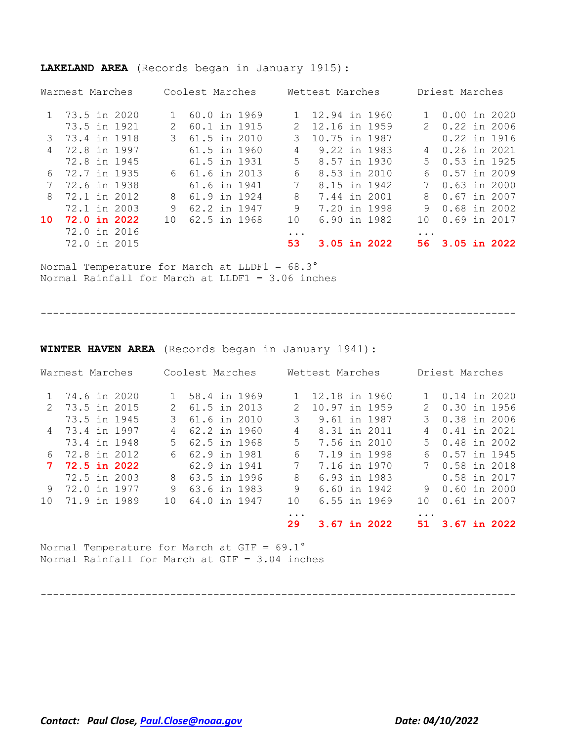| Warmest Marches |     |                                                                                                                                                                                   |  |                                                                                                                                                                                                    |  |                                                                                                                                                                                                            |
|-----------------|-----|-----------------------------------------------------------------------------------------------------------------------------------------------------------------------------------|--|----------------------------------------------------------------------------------------------------------------------------------------------------------------------------------------------------|--|------------------------------------------------------------------------------------------------------------------------------------------------------------------------------------------------------------|
| 1 73.5 in 2020  |     |                                                                                                                                                                                   |  |                                                                                                                                                                                                    |  |                                                                                                                                                                                                            |
| 73.5 in 1921    | 2   | $\mathcal{L}$                                                                                                                                                                     |  |                                                                                                                                                                                                    |  |                                                                                                                                                                                                            |
| 73.4 in 1918    | 3   | 3                                                                                                                                                                                 |  |                                                                                                                                                                                                    |  |                                                                                                                                                                                                            |
| 72.8 in 1997    |     | 4                                                                                                                                                                                 |  |                                                                                                                                                                                                    |  |                                                                                                                                                                                                            |
| 72.8 in 1945    |     | .5                                                                                                                                                                                |  |                                                                                                                                                                                                    |  |                                                                                                                                                                                                            |
| 72.7 in 1935    |     | 6                                                                                                                                                                                 |  | 6                                                                                                                                                                                                  |  |                                                                                                                                                                                                            |
| 72.6 in 1938    |     | 7                                                                                                                                                                                 |  | 7                                                                                                                                                                                                  |  |                                                                                                                                                                                                            |
| 72.1 in 2012    | 8   | 8                                                                                                                                                                                 |  | 8                                                                                                                                                                                                  |  |                                                                                                                                                                                                            |
| 72.1 in 2003    | 9   | 9                                                                                                                                                                                 |  | 9                                                                                                                                                                                                  |  |                                                                                                                                                                                                            |
| 72.0 in 2022    | 1 O | 10                                                                                                                                                                                |  | 1 O                                                                                                                                                                                                |  |                                                                                                                                                                                                            |
| 72.0 in 2016    |     |                                                                                                                                                                                   |  |                                                                                                                                                                                                    |  |                                                                                                                                                                                                            |
| 72.0 in 2015    |     | 53                                                                                                                                                                                |  | 56.                                                                                                                                                                                                |  |                                                                                                                                                                                                            |
|                 |     | Coolest Marches<br>60.0 in 1969<br>60.1 in 1915<br>61.5 in 2010<br>61.5 in 1960<br>61.5 in 1931<br>6 61.6 in 2013<br>61.6 in 1941<br>61.9 in 1924<br>62.2 in 1947<br>62.5 in 1968 |  | Wettest Marches<br>12.94 in 1960<br>12.16 in 1959<br>10.75 in 1987<br>9.22 in 1983<br>8.57 in 1930<br>8.53 in 2010<br>8.15 in 1942<br>7.44 in 2001<br>7.20 in 1998<br>6.90 in 1982<br>3.05 in 2022 |  | Driest Marches<br>$0.00$ in 2020<br>2 0.22 in 2006<br>0.22 in 1916<br>4 0.26 in 2021<br>5 0.53 in 1925<br>0.57 in 2009<br>$0.63$ in 2000<br>$0.67$ in 2007<br>0.68 in 2002<br>0.69 in 2017<br>3.05 in 2022 |

#### **LAKELAND AREA** (Records began in January 1915):

Normal Temperature for March at LLDF1 = 68.3° Normal Rainfall for March at LLDF1 = 3.06 inches

-----------------------------------------------------------------------------

**WINTER HAVEN AREA** (Records began in January 1941):

|                 | Warmest Marches     |     | Coolest Marches |             | Wettest Marches | Driest Marches |                |                |  |              |
|-----------------|---------------------|-----|-----------------|-------------|-----------------|----------------|----------------|----------------|--|--------------|
|                 | 74.6 in 2020        |     | 1 58.4 in 1969  |             | 12.18 in 1960   |                |                | 1 0.14 in 2020 |  |              |
|                 | 2 73.5 in 2015      |     | 2 61.5 in 2013  |             | 10.97 in 1959   |                |                | 2 0.30 in 1956 |  |              |
|                 | 73.5 in 1945        |     | 3 61.6 in 2010  | 3           | 9.61 in 1987    |                |                | 3 0.38 in 2006 |  |              |
|                 | 4 73.4 in 1997      | 4   | 62.2 in 1960    | 4           | 8.31 in 2011    |                | $\overline{4}$ | 0.41 in 2021   |  |              |
|                 | 73.4 in 1948        | .5  | 62.5 in 1968    | 5           | 7.56 in 2010    |                |                | 5 0.48 in 2002 |  |              |
|                 | 6 72.8 in 2012      |     | 6 62.9 in 1981  | 6           | 7.19 in 1998    |                | 6              | 0.57 in 1945   |  |              |
| 7               | <b>72.5 in 2022</b> |     | 62.9 in 1941    | $7^{\circ}$ | 7.16 in 1970    |                |                | 7 0.58 in 2018 |  |              |
|                 | 72.5 in 2003        | 8   | 63.5 in 1996    | 8           | 6.93 in 1983    |                |                | 0.58 in 2017   |  |              |
|                 | 9 72.0 in 1977      | 9   | 63.6 in 1983    | 9           | 6.60 in 1942    |                |                | 9 0.60 in 2000 |  |              |
| 10 <sup>1</sup> | 71.9 in 1989        | 1 O | 64.0 in 1947    | 10          | 6.55 in 1969    |                | 1 N            | 0.61 in 2007   |  |              |
|                 |                     |     |                 | $\cdots$    |                 |                |                |                |  |              |
|                 |                     |     |                 | 29          | 3.67 in 2022    |                | 51.            |                |  | 3.67 in 2022 |

Normal Temperature for March at GIF =  $69.1^{\circ}$ Normal Rainfall for March at GIF = 3.04 inches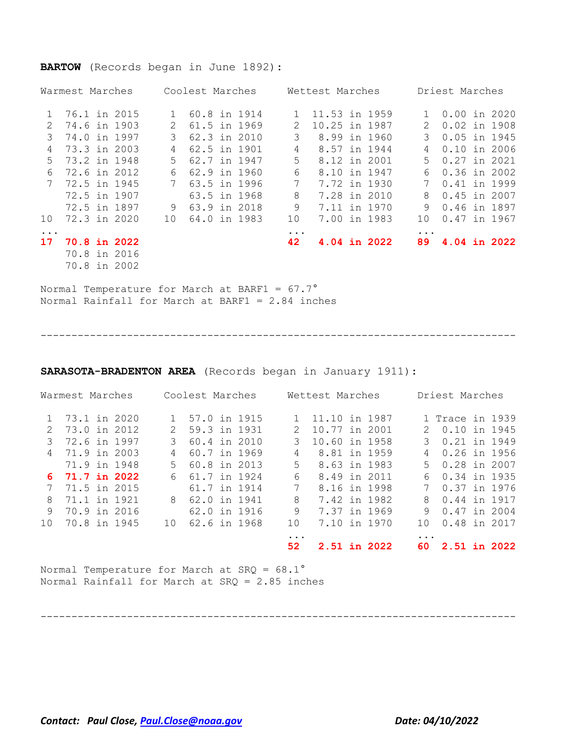#### **BARTOW** (Records began in June 1892):

|                 | Warmest Marches | Coolest Marches |                |               | Wettest Marches | Driest Marches |                |  |  |
|-----------------|-----------------|-----------------|----------------|---------------|-----------------|----------------|----------------|--|--|
|                 | 76.1 in 2015    |                 | 60.8 in 1914   |               | 11.53 in 1959   |                | 1 0.00 in 2020 |  |  |
| 2               | 74.6 in 1903    | 2               | 61.5 in 1969   | $\mathcal{L}$ | 10.25 in 1987   | 2              | 0.02 in 1908   |  |  |
| 3               | 74.0 in 1997    | 3               | 62.3 in 2010   | 3             | 8.99 in 1960    | 3              | $0.05$ in 1945 |  |  |
| 4               | 73.3 in 2003    | 4               | 62.5 in 1901   | 4             | 8.57 in 1944    | 4              | $0.10$ in 2006 |  |  |
| .5              | 73.2 in 1948    | .5              | 62.7 in 1947   | 5             | 8.12 in 2001    |                | 5 0.27 in 2021 |  |  |
| 6               | 72.6 in 2012    | 6               | 62.9 in 1960   | 6             | 8.10 in 1947    | 6              | 0.36 in 2002   |  |  |
|                 | 7 72.5 in 1945  |                 | 7 63.5 in 1996 | 7             | 7.72 in 1930    |                | 7 0.41 in 1999 |  |  |
|                 | 72.5 in 1907    |                 | 63.5 in 1968   | 8             | 7.28 in 2010    |                | 8 0.45 in 2007 |  |  |
|                 | 72.5 in 1897    |                 | 9 63.9 in 2018 | 9             | 7.11 in 1970    | 9              | 0.46 in 1897   |  |  |
| 10 <sup>°</sup> | 72.3 in 2020    | 10              | 64.0 in 1983   | 10            | 7.00 in 1983    | 10             | 0.47 in 1967   |  |  |
| $\ddotsc$       |                 |                 |                | $\ddotsc$     |                 | $\ddotsc$      |                |  |  |
| 17              | 70.8 in 2022    |                 |                | 42            | 4.04 in 2022    | 89.            | 4.04 in 2022   |  |  |
|                 | 70.8 in 2016    |                 |                |               |                 |                |                |  |  |
|                 | 70.8 in 2002    |                 |                |               |                 |                |                |  |  |

Normal Temperature for March at BARF1 =  $67.7^\circ$ Normal Rainfall for March at BARF1 = 2.84 inches

-----------------------------------------------------------------------------

**SARASOTA-BRADENTON AREA** (Records began in January 1911):

|                 | Warmest Marches |     | Coolest Marches |             | Wettest Marches |              |          | Driest Marches  |  |
|-----------------|-----------------|-----|-----------------|-------------|-----------------|--------------|----------|-----------------|--|
|                 | 1 73.1 in 2020  |     | 1 57.0 in 1915  |             | 11.10 in 1987   |              |          | 1 Trace in 1939 |  |
| $\mathcal{L}$   | 73.0 in 2012    |     | 2 59.3 in 1931  | 2           | 10.77 in 2001   |              |          | 2 0.10 in 1945  |  |
| 3               | 72.6 in 1997    | 3   | 60.4 in 2010    | 3           | 10.60 in 1958   |              |          | 3 0.21 in 1949  |  |
|                 | 4 71.9 in 2003  |     | 60.7 in 1969    | 4           |                 | 8.81 in 1959 |          | 4 0.26 in 1956  |  |
|                 | 71.9 in 1948    | .5  | 60.8 in 2013    | 5           |                 | 8.63 in 1983 |          | 5 0.28 in 2007  |  |
|                 | 6 71.7 in 2022  |     | 6 61.7 in 1924  | 6           |                 | 8.49 in 2011 |          | 6 0.34 in 1935  |  |
|                 | 7 71.5 in 2015  |     | 61.7 in 1914    | $7^{\circ}$ |                 | 8.16 in 1998 |          | 7 0.37 in 1976  |  |
| 8               | 71.1 in 1921    |     | 8 62.0 in 1941  | 8           |                 | 7.42 in 1982 |          | 8 0.44 in 1917  |  |
| 9               | 70.9 in 2016    |     | 62.0 in 1916    | 9           |                 | 7.37 in 1969 |          | 9 0.47 in 2004  |  |
| 10 <sup>1</sup> | 70.8 in 1945    | 1 O | 62.6 in 1968    | 10          |                 | 7.10 in 1970 | 1 N      | 0.48 in 2017    |  |
|                 |                 |     |                 | $\cdots$    |                 |              | $\cdots$ |                 |  |
|                 |                 |     |                 | 52          |                 | 2.51 in 2022 |          | 60 2.51 in 2022 |  |

Normal Temperature for March at  $SRQ = 68.1^\circ$ Normal Rainfall for March at SRQ = 2.85 inches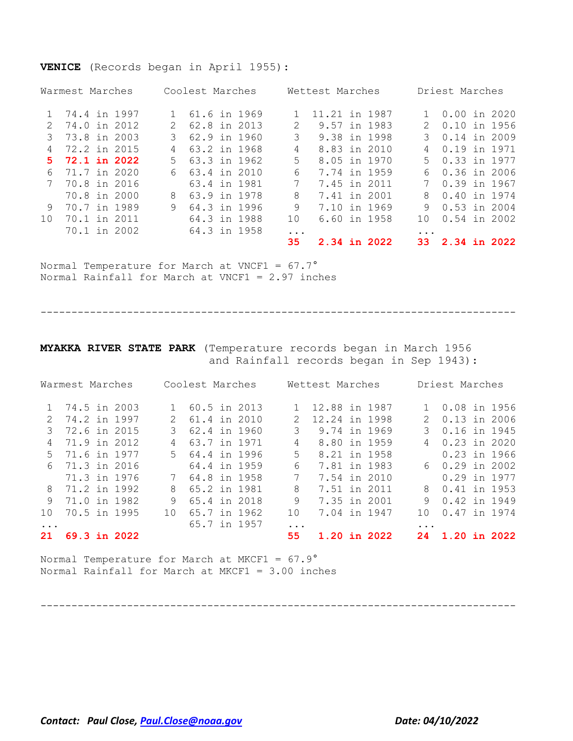#### **VENICE** (Records began in April 1955):

|                 | Warmest Marches |                | Coolest Marches |               | Wettest Marches |              |                        | Driest Marches |  |
|-----------------|-----------------|----------------|-----------------|---------------|-----------------|--------------|------------------------|----------------|--|
|                 | 1 74.4 in 1997  |                | 1 61.6 in 1969  |               | 11.21 in 1987   |              |                        | 1 0.00 in 2020 |  |
| 2.              | 74.0 in 2012    | 2.             | 62.8 in 2013    | $\mathcal{L}$ | 9.57 in 1983    |              |                        | 0.10 in 1956   |  |
|                 | 3 73.8 in 2003  |                | 3 62.9 in 1960  | 3             | 9.38 in 1998    |              |                        | 3 0.14 in 2009 |  |
| 4               | 72.2 in 2015    | $\overline{4}$ | 63.2 in 1968    | 4             | 8.83 in 2010    |              | 4                      | 0.19 in 1971   |  |
|                 | 5 72.1 in 2022  | $5 -$          | 63.3 in 1962    | 5.            | 8.05 in 1970    |              |                        | 5 0.33 in 1977 |  |
| 6               | 71.7 in 2020    |                | 6 63.4 in 2010  | 6             | 7.74 in 1959    |              | 6                      | 0.36 in 2006   |  |
| 7               | 70.8 in 2016    |                | 63.4 in 1981    | 7             | 7.45 in 2011    |              |                        | 7 0.39 in 1967 |  |
|                 | 70.8 in 2000    | 8              | 63.9 in 1978    | 8             | 7.41 in 2001    |              | 8                      | 0.40 in 1974   |  |
| 9               | 70.7 in 1989    | 9              | 64.3 in 1996    | 9             | 7.10 in 1969    |              | 9                      | 0.53 in 2004   |  |
| 10 <sup>°</sup> | 70.1 in 2011    |                | 64.3 in 1988    | 10            |                 | 6.60 in 1958 | 1 O                    | 0.54 in 2002   |  |
|                 | 70.1 in 2002    |                | 64.3 in 1958    | $\ddots$      |                 |              | $\ddot{\phantom{0}}$ . |                |  |
|                 |                 |                |                 | 35            | 2.34 in 2022    |              | 33.                    | 2.34 in 2022   |  |

Normal Temperature for March at VNCF1 =  $67.7^\circ$ Normal Rainfall for March at VNCF1 = 2.97 inches

-----------------------------------------------------------------------------

#### **MYAKKA RIVER STATE PARK** (Temperature records began in March 1956 and Rainfall records began in Sep 1943):

| Warmest Marches |                |  | Coolest Marches |                 |  | Wettest Marches |               |  | Driest Marches |           |                |  |  |
|-----------------|----------------|--|-----------------|-----------------|--|-----------------|---------------|--|----------------|-----------|----------------|--|--|
|                 | 1 74.5 in 2003 |  |                 | 1 60.5 in 2013  |  |                 | 12.88 in 1987 |  |                |           | 1 0.08 in 1956 |  |  |
| 2               | 74.2 in 1997   |  | 2               | 61.4 in 2010    |  |                 | 12.24 in 1998 |  |                |           | 2 0.13 in 2006 |  |  |
| 3               | 72.6 in 2015   |  |                 | 62.4 in 1960    |  | 3               | 9.74 in 1969  |  |                | 3         | 0.16 in 1945   |  |  |
| 4               | 71.9 in 2012   |  | 4               | 63.7 in 1971    |  | 4               | 8.80 in 1959  |  |                |           | 4 0.23 in 2020 |  |  |
| $5 -$           | 71.6 in 1977   |  |                 | 5 64.4 in 1996  |  | 5               | 8.21 in 1958  |  |                |           | 0.23 in 1966   |  |  |
|                 | 6 71.3 in 2016 |  |                 | 64.4 in 1959    |  | 6               | 7.81 in 1983  |  |                |           | 6 0.29 in 2002 |  |  |
|                 | 71.3 in 1976   |  |                 | 7 64.8 in 1958  |  | 7               | 7.54 in 2010  |  |                |           | 0.29 in 1977   |  |  |
| 8               | 71.2 in 1992   |  | 8               | 65.2 in 1981    |  | 8               | 7.51 in 2011  |  |                |           | 8 0.41 in 1953 |  |  |
| 9               | 71.0 in 1982   |  | 9               | 65.4 in 2018    |  | 9               | 7.35 in 2001  |  |                | 9         | 0.42 in 1949   |  |  |
| 10 <sup>1</sup> | 70.5 in 1995   |  |                 | 10 65.7 in 1962 |  | 10              | 7.04 in 1947  |  |                | 1 N       | 0.47 in 1974   |  |  |
|                 |                |  |                 | 65.7 in 1957    |  | .               |               |  |                | $\ddotsc$ |                |  |  |
| 21              | 69.3 in 2022   |  |                 |                 |  | 55              | 1.20 in 2022  |  |                | 24        | 1.20 in 2022   |  |  |

Normal Temperature for March at MKCF1 =  $67.9^\circ$ Normal Rainfall for March at MKCF1 = 3.00 inches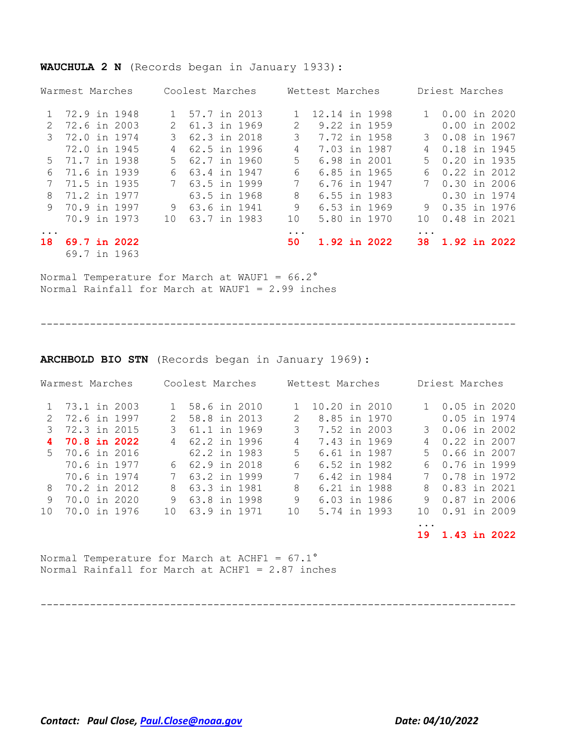|               | Warmest Marches |     | Coolest Marches |          | Wettest Marches |          | Driest Marches |  |
|---------------|-----------------|-----|-----------------|----------|-----------------|----------|----------------|--|
|               | 72.9 in 1948    |     | 1 57.7 in 2013  |          | 12.14 in 1998   |          | 1 0.00 in 2020 |  |
| $\mathcal{L}$ | 72.6 in 2003    |     | 61.3 in 1969    | 2        | 9.22 in 1959    |          | $0.00$ in 2002 |  |
| $\mathcal{S}$ | 72.0 in 1974    | 3   | 62.3 in 2018    | 3        | 7.72 in 1958    |          | 3 0.08 in 1967 |  |
|               | 72.0 in 1945    | 4   | 62.5 in 1996    | 4        | 7.03 in 1987    | 4        | 0.18 in 1945   |  |
| $5^{\circ}$   | 71.7 in 1938    | .5  | 62.7 in 1960    | 5.       | 6.98 in 2001    | 5        | 0.20 in 1935   |  |
| 6             | 71.6 in 1939    | 6   | 63.4 in 1947    | 6        | 6.85 in 1965    | 6        | 0.22 in 2012   |  |
|               | 71.5 in 1935    |     | 7 63.5 in 1999  | 7        | 6.76 in 1947    |          | 7 0.30 in 2006 |  |
| 8             | 71.2 in 1977    |     | 63.5 in 1968    | 8        | 6.55 in 1983    |          | 0.30 in 1974   |  |
| 9             | 70.9 in 1997    | 9   | 63.6 in 1941    | 9        | 6.53 in 1969    | 9        | 0.35 in 1976   |  |
|               | 70.9 in 1973    | 1 O | 63.7 in 1983    | 10       | 5.80 in 1970    | 1 O      | 0.48 in 2021   |  |
| $\ddotsc$     |                 |     |                 | $\cdots$ |                 | $\cdots$ |                |  |
| 18            | 69.7 in 2022    |     |                 | 50       | 1.92 in 2022    | 38.      | 1.92 in 2022   |  |
|               | 69.7 in 1963    |     |                 |          |                 |          |                |  |

#### **WAUCHULA 2 N** (Records began in January 1933):

Normal Temperature for March at WAUF1 =  $66.2^\circ$ Normal Rainfall for March at WAUF1 = 2.99 inches

-----------------------------------------------------------------------------

**ARCHBOLD BIO STN** (Records began in January 1969):

|               | Warmest Marches | Coolest Marches |              |               | Wettest Marches | Driest Marches |                 |  |  |
|---------------|-----------------|-----------------|--------------|---------------|-----------------|----------------|-----------------|--|--|
|               | 1 73.1 in 2003  |                 | 58.6 in 2010 |               | 10.20 in 2010   |                | 1 0.05 in 2020  |  |  |
| $\mathcal{L}$ | 72.6 in 1997    | 2               | 58.8 in 2013 | $\mathcal{L}$ | 8.85 in 1970    |                | 0.05 in 1974    |  |  |
| 3             | 72.3 in 2015    | 3.              | 61.1 in 1969 | 3             | 7.52 in 2003    |                | 3 0.06 in 2002  |  |  |
| 4             | 70.8 in 2022    |                 | 62.2 in 1996 | 4             | 7.43 in 1969    | 4              | 0.22 in 2007    |  |  |
| 5             | 70.6 in 2016    |                 | 62.2 in 1983 | 5.            | 6.61 in 1987    |                | 5 0.66 in 2007  |  |  |
|               | 70.6 in 1977    | 6               | 62.9 in 2018 | 6             | 6.52 in 1982    | 6              | 0.76 in 1999    |  |  |
|               | 70.6 in 1974    |                 | 63.2 in 1999 | 7             | 6.42 in 1984    |                | 0.78 in 1972    |  |  |
| 8             | 70.2 in 2012    | 8               | 63.3 in 1981 | 8             | 6.21 in 1988    | 8              | 0.83 in 2021    |  |  |
| 9             | 70.0 in 2020    | 9               | 63.8 in 1998 | 9             | 6.03 in 1986    | 9              | 0.87 in 2006    |  |  |
| $10^{-}$      | 70.0 in 1976    | 1 N             | 63.9 in 1971 | 10            | 5.74 in 1993    | 1 N            | 0.91 in 2009    |  |  |
|               |                 |                 |              |               |                 | .              |                 |  |  |
|               |                 |                 |              |               |                 |                | 19 1.43 in 2022 |  |  |

Normal Temperature for March at ACHF1 =  $67.1^\circ$ Normal Rainfall for March at ACHF1 = 2.87 inches